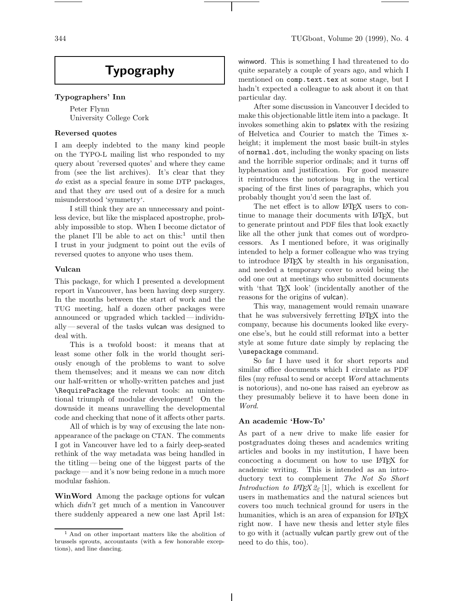# **Typography**

#### **Typographers' Inn**

Peter Flynn University College Cork

## **Reversed quotes**

I am deeply indebted to the many kind people on the TYPO-L mailing list who responded to my query about 'reversed quotes' and where they came from (see the list archives). It's clear that they *do* exist as a special feaure in some DTP packages, and that they *are* used out of a desire for a much misunderstood 'symmetry '.

I still think they are an unnecessary and pointless device, but like the misplaced apostrophe, probably impossible to stop. When I become dictator of the planet I'll be able to act on this: $\frac{1}{1}$  until then I trust in your judgment to point out the evils of reversed quotes to anyone who uses them.

#### **Vulcan**

This package, for which I presented a development report in Vancouver, has been having deep surgery. In the months between the start of work and the TUG meeting, half a dozen other packages were announced or upgraded which tackled— individually— several of the tasks vulcan was designed to deal with.

This is a twofold boost: it means that at least some other folk in the world thought seriously enough of the problems to want to solve them themselves; and it means we can now ditch our half-written or wholly-written patches and just \RequirePackage the relevant tools: an unintentional triumph of modular development! On the downside it means unravelling the developmental code and checking that none of it affects other parts.

All of which is by way of excusing the late nonappearance of the package on CTAN. The comments I got in Vancouver have led to a fairly deep-seated rethink of the way metadata was being handled in the titling — being one of the biggest parts of the package— and it's now being redone in a much more modular fashion.

**WinWord** Among the package options for vulcan which *didn't* get much of a mention in Vancouver there suddenly appeared a new one last April 1st:

winword. This is something I had threatened to do quite separately a couple of years ago, and which I mentioned on comp.text.tex at some stage, but I hadn't expected a colleague to ask about it on that particular day.

After some discussion in Vancouver I decided to make this objectionable little item into a package. It invokes something akin to pslatex with the resizing of Helvetica and Courier to match the Times xheight; it implement the most basic built-in styles of normal.dot, including the wonky spacing on lists and the horrible superior ordinals; and it turns off hyphenation and justification. For good measure it reintroduces the notorious bug in the vertical spacing of the first lines of paragraphs, which you probably thought you'd seen the last of.

The net effect is to allow LAT<sub>EX</sub> users to continue to manage their documents with LATEX, but to generate printout and PDF files that look exactly like all the other junk that comes out of wordprocessors. As I mentioned before, it was originally intended to help a former colleague who was trying to introduce LATEX by stealth in his organisation, and needed a temporary cover to avoid being the odd one out at meetings who submitted documents with 'that T<sub>E</sub>X look' (incidentally another of the reasons for the origins of vulcan).

This way, management would remain unaware that he was subversively ferretting LATEX into the company, because his documents looked like everyone else's, but he could still reformat into a better style at some future date simply by replacing the \usepackage command.

So far I have used it for short reports and similar office documents which I circulate as PDF files (my refusal to send or accept *Word* attachments is notorious), and no-one has raised an eyebrow as they presumably believe it to have been done in *Word*.

#### **An academic 'How-To'**

As part of a new drive to make life easier for postgraduates doing theses and academics writing articles and books in my institution, I have been concocting a document on how to use LATEX for academic writing. This is intended as an introductory text to complement *The Not So Short Introduction to L<sup>A</sup>TEX 2*<sup>ε</sup>[1], which is excellent for users in mathematics and the natural sciences but covers too much technical ground for users in the humanities, which is an area of expansion for LAT<sub>EX</sub> right now. I have new thesis and letter style files to go with it (actually vulcan partly grew out of the need to do this, too).

<sup>1</sup> And on other important matters like the abolition of brussels sprouts, accountants (with a few honorable exceptions), and line dancing.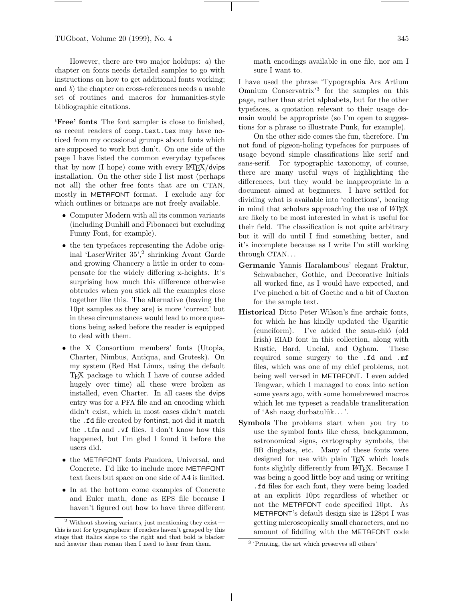TUGboat, Volume 20 (1999), No. 4 345

However, there are two major holdups: *a*) the chapter on fonts needs detailed samples to go with instructions on how to get additional fonts working; and *b*) the chapter on cross-references needs a usable set of routines and macros for humanities-style bibliographic citations.

**'Free' fonts** The font sampler is close to finished, as recent readers of comp.text.tex may have noticed from my occasional grumps about fonts which are supposed to work but don't. On one side of the page I have listed the common everyday typefaces that by now  $(I \text{ hope})$  come with every  $IATFX/dvips$ installation. On the other side I list most (perhaps not all) the other free fonts that are on CTAN, mostly in METAFONT format. I exclude any for which outlines or bitmaps are not freely available.

- Computer Modern with all its common variants (including Dunhill and Fibonacci but excluding Funny Font, for example).
- the ten typefaces representing the Adobe original 'LaserWriter 35',<sup>2</sup> shrinking Avant Garde and growing Chancery a little in order to compensate for the widely differing x-heights. It's surprising how much this difference otherwise obtrudes when you stick all the examples close together like this. The alternative (leaving the 10pt samples as they are) is more 'correct' but in these circumstances would lead to more questions being asked before the reader is equipped to deal with them.
- the X Consortium members' fonts (Utopia, Charter, Nimbus, Antiqua, and Grotesk). On my system (Red Hat Linux, using the default TEX package to which I have of course added hugely over time) all these were broken as installed, even Charter. In all cases the dvips entry was for a PFA file and an encoding which didn't exist, which in most cases didn't match the .fd file created by fontinst, not did it match the .tfm and .vf files. I don't know how this happened, but I'm glad I found it before the users did.
- *•* the METAFONT fonts Pandora, Universal, and Concrete. I'd like to include more METAFONT text faces but space on one side of A4 is limited.
- *•* In at the bottom come examples of Concrete and Euler math, done as EPS file because I haven't figured out how to have three different

math encodings available in one file, nor am I sure I want to.

I have used the phrase 'Typographia Ars Artium Omnium Conservatrix'<sup>3</sup> for the samples on this page, rather than strict alphabets, but for the other typefaces, a quotation relevant to their usage domain would be appropriate (so I'm open to suggestions for a phrase to illustrate Punk, for example).

On the other side comes the fun, therefore. I'm not fond of pigeon-holing typefaces for purposes of usage beyond simple classifications like serif and sans-serif. For typographic taxonomy, of course, there are many useful ways of highlighting the differences, but they would be inappropriate in a document aimed at beginners. I have settled for dividing what is available into 'collections', bearing in mind that scholars approaching the use of LATEX are likely to be most interested in what is useful for their field. The classification is not quite arbitrary but it will do until I find something better, and it's incomplete because as I write I'm still working through CTAN...

- **Germanic** Yannis Haralambous' elegant Fraktur, Schwabacher, Gothic, and Decorative Initials all worked fine, as I would have expected, and I've pinched a bit of Goethe and a bit of Caxton for the sample text.
- **Historical** Ditto Peter Wilson's fine archaic fonts, for which he has kindly updated the Ugaritic (cuneiform). I've added the sean-chló (old Irish) EIAD font in this collection, along with Rustic, Bard, Uncial, and Ogham. These required some surgery to the .fd and .mf files, which was one of my chief problems, not being well versed in METAFONT. I even added Tengwar, which I managed to coax into action some years ago, with some homebrewed macros which let me typeset a readable transliteration of 'Ash nazg durbatul $\hat{u}$ k...'.
- **Symbols** The problems start when you try to use the symbol fonts like chess, backgammon, astronomical signs, cartography symbols, the BB dingbats, etc. Many of these fonts were designed for use with plain T<sub>EX</sub> which loads fonts slightly differently from LAT<sub>EX</sub>. Because I was being a good little boy and using or writing .fd files for each font, they were being loaded at an explicit 10pt regardless of whether or not the METAFONT code specified 10pt. As METAFONT's default design size is 128pt I was getting microscopically small characters, and no amount of fiddling with the METAFONT code

 $2$  Without showing variants, just mentioning they exist  $$ this is not for typographers: if readers haven't grasped by this stage that italics slope to the right and that bold is blacker and heavier than roman then I need to hear from them.

<sup>3</sup> 'Printing, the art which preserves all others'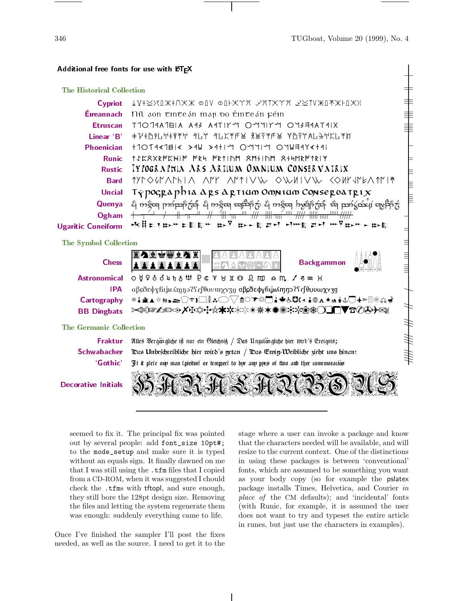346 TUGboat, Volume 20 (1999), No. 4

 $\frac{1}{2}$ 

## Additional free fonts for use with LATEX

## The Historical Collection

| The Historical Collection  |                                                                                                                                                            |   |
|----------------------------|------------------------------------------------------------------------------------------------------------------------------------------------------------|---|
| <b>Cypriot</b>             | $\downarrow$ V‡ $\gtrsim$ Xîk‡ $\cap$ X $\chi$ oliv oli $\times$ y $\chi$ y, $\sim$ xix $\gamma$ y, $\swarrow$ ziv $\chi$ l $\chi$ xi $\vdash$ l $\chi$ )( |   |
| Éireannach                 | níl son tinteán map vo tinteán péin                                                                                                                        | ╅ |
| <b>Etruscan</b>            | T1014A1BIA A43 A4TIYM OMYIYM OY3E4AT4IX                                                                                                                    |   |
| Linear 'B'                 | ŧ7ŧBil+1ŧ9¥+ *LY *LX*F¥ *BF*FB YBFYAL→+XL*H                                                                                                                |   |
| <b>Phoenician</b>          | $+10111111 \times 34W$ > 411 9 0911 9 01 14141                                                                                                             |   |
| Runic                      | 1JKRXRPKHIP PRU PR1INM RM+INM R+UMRP1RIY                                                                                                                   |   |
| <b>Rustic</b>              | IYPOGRAPHIA ARS ARIIUM OMNIUM CONSERVAIRIX                                                                                                                 |   |
| <b>Bard</b>                | <u> 17 d'Ocean de alterations de la compart de la production de la compart de la compart de la compart de la compa</u>                                     |   |
| <b>Uncial</b>              | $\tau$ γρος μαρίδια αρεαρτιάσο Οσηνιάσο Conse μολίτμι $\mathbf x$                                                                                          |   |
| Quenya                     | ည် ကဲ့သော ကျောက်သော ကိုသွင်း မြစ်သည် ကုန်းများ ကွဲများကို ကုန်းမြောက် ကုန်းကို ကုန်း                                                                       |   |
| Ogham                      |                                                                                                                                                            |   |
| <b>Ugaritic Cuneiform</b>  | <b>DF DEERT H#EEH #FDFFFDE</b><br>K#⊏1Þ™ÞEF™                                                                                                               |   |
| The Symbol Collection      |                                                                                                                                                            |   |
| <b>Chess</b>               | <b>Backgammon</b>                                                                                                                                          |   |
| <b>Astronomical</b>        | ⊙ ያ ? δ δ 4 ħ δ ₩ Ρ c Y δ II ω Ω m m m c m / δ x H                                                                                                         |   |
| <b>IPA</b>                 | αβεδεφγhijBAmno?frfθυνωχγ3g αβεδεφγhijBAmno?frfθυνωχγ3g                                                                                                    |   |
| Cartography                | <b>*↓ª▲☆₩≥≥◯±♪□ⅈ┅◯▽⋒○≯◎ご♪♣</b> 6◘(చ∔⊕∡★ఆ∔↓♡♠≻▤☀డ∳                                                                                                          |   |
| <b>BB</b> Dingbats         |                                                                                                                                                            |   |
| The Germanic Collection    |                                                                                                                                                            |   |
| Fraktur                    | Alles Vergängliche ist nur ein Gleichnis / Das Unzulängliche hier wird's Ereignis;                                                                         |   |
| <b>Schwabacher</b>         | Das Unbeschreibliche hier wird's getan / Das Ewig-Weibliche zieht uns hinan:                                                                               |   |
| 'Gothic'                   | It it plete ony man tpirituel or temporel to bye any pyes of two and thre comemoraciós                                                                     |   |
| <b>Decorative Initials</b> |                                                                                                                                                            |   |

seemed to fix it. The principal fix was pointed out by several people: add font\_size 10pt#; to the mode\_setup and make sure it is typed without an equals sign. It finally dawned on me that I was still using the .tfm files that I copied from a CD-ROM, when it was suggested I chould check the .tfms with tftopl, and sure enough, they still bore the 128pt design size. Removing the files and letting the system regenerate them was enough: suddenly everything came to life.

Once I've finished the sampler I'll post the fixes needed, as well as the source. I need to get it to the

stage where a user can invoke a package and know that the characters needed will be available, and will resize to the current context. One of the distinctions in using these packages is between 'conventional' fonts, which are assumed to be something you want as your body copy (so for example the pslatex package installs Times, Helvetica, and Courier *in place of* the CM defaults); and 'incidental' fonts (with Runic, for example, it is assumed the user does not want to try and typeset the entire article in runes, but just use the characters in examples).